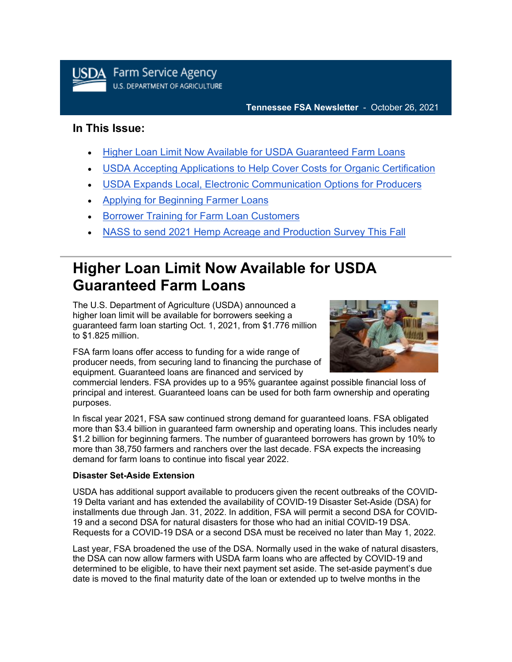

#### **Tennessee FSA Newsletter** - October 26, 2021

### **In This Issue:**

- [Higher Loan Limit Now Available for USDA Guaranteed Farm Loans](#page-0-0)
- [USDA Accepting Applications to Help Cover Costs for Organic Certification](#page-1-0)
- [USDA Expands Local, Electronic Communication Options for Producers](#page-2-0)
- [Applying for Beginning Farmer Loans](#page-2-1)
- [Borrower Training for Farm Loan Customers](#page-2-2)
- [NASS to send 2021 Hemp Acreage and Production Survey This Fall](#page-3-0)

## <span id="page-0-0"></span>**Higher Loan Limit Now Available for USDA Guaranteed Farm Loans**

The U.S. Department of Agriculture (USDA) announced a higher loan limit will be available for borrowers seeking a guaranteed farm loan starting Oct. 1, 2021, from \$1.776 million to \$1.825 million.

FSA farm loans offer access to funding for a wide range of producer needs, from securing land to financing the purchase of equipment. Guaranteed loans are financed and serviced by



commercial lenders. FSA provides up to a 95% guarantee against possible financial loss of principal and interest. Guaranteed loans can be used for both farm ownership and operating purposes.

In fiscal year 2021, FSA saw continued strong demand for guaranteed loans. FSA obligated more than \$3.4 billion in guaranteed farm ownership and operating loans. This includes nearly \$1.2 billion for beginning farmers. The number of guaranteed borrowers has grown by 10% to more than 38,750 farmers and ranchers over the last decade. FSA expects the increasing demand for farm loans to continue into fiscal year 2022.

#### **Disaster Set-Aside Extension**

USDA has additional support available to producers given the recent outbreaks of the COVID-19 Delta variant and has extended the availability of COVID-19 Disaster Set-Aside (DSA) for installments due through Jan. 31, 2022. In addition, FSA will permit a second DSA for COVID-19 and a second DSA for natural disasters for those who had an initial COVID-19 DSA. Requests for a COVID-19 DSA or a second DSA must be received no later than May 1, 2022.

Last year, FSA broadened the use of the DSA. Normally used in the wake of natural disasters, the DSA can now allow farmers with USDA farm loans who are affected by COVID-19 and determined to be eligible, to have their next payment set aside. The set-aside payment's due date is moved to the final maturity date of the loan or extended up to twelve months in the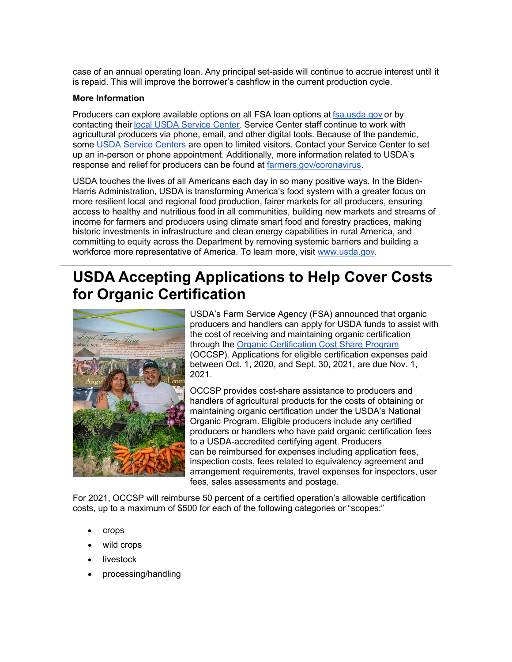case of an annual operating loan. Any principal set-aside will continue to accrue interest until it is repaid. This will improve the borrower's cashflow in the current production cycle.

#### **More Information**

Producers can explore available options on all FSA loan options at [fsa.usda.gov](https://gcc02.safelinks.protection.outlook.com/?url=https%3A%2F%2Fwww.fsa.usda.gov%2F%3Futm_medium%3Demail%26utm_source%3Dgovdelivery&data=04%7C01%7C%7C056ec82638164060532008d99894c661%7Ced5b36e701ee4ebc867ee03cfa0d4697%7C0%7C0%7C637708587020092886%7CUnknown%7CTWFpbGZsb3d8eyJWIjoiMC4wLjAwMDAiLCJQIjoiV2luMzIiLCJBTiI6Ik1haWwiLCJXVCI6Mn0%3D%7C1000&sdata=PWri47DrpU18nlsxezrVCFVeLBTouuT%2FXZmFGwcDM5M%3D&reserved=0) or by contacting their [local USDA Service Center.](https://www.farmers.gov/working-with-us/service-center-locator?utm_medium=email&utm_source=govdelivery) Service Center staff continue to work with agricultural producers via phone, email, and other digital tools. Because of the pandemic, some [USDA Service Centers](http://www.farmers.gov/service-locator?utm_medium=email&utm_source=govdelivery) are open to limited visitors. Contact your Service Center to set up an in-person or phone appointment. Additionally, more information related to USDA's response and relief for producers can be found at [farmers.gov/coronavirus.](https://www.farmers.gov/coronavirus?utm_medium=email&utm_source=govdelivery)

USDA touches the lives of all Americans each day in so many positive ways. In the Biden-Harris Administration, USDA is transforming America's food system with a greater focus on more resilient local and regional food production, fairer markets for all producers, ensuring access to healthy and nutritious food in all communities, building new markets and streams of income for farmers and producers using climate smart food and forestry practices, making historic investments in infrastructure and clean energy capabilities in rural America, and committing to equity across the Department by removing systemic barriers and building a workforce more representative of America. To learn more, visit [www.usda.gov](https://gcc02.safelinks.protection.outlook.com/?url=https%3A%2F%2Fgbc-word-edit.officeapps.live.com%2Fwe%2Fwww.usda.gov%3Futm_medium%3Demail%26utm_source%3Dgovdelivery&data=04%7C01%7C%7C056ec82638164060532008d99894c661%7Ced5b36e701ee4ebc867ee03cfa0d4697%7C0%7C0%7C637708587020102842%7CUnknown%7CTWFpbGZsb3d8eyJWIjoiMC4wLjAwMDAiLCJQIjoiV2luMzIiLCJBTiI6Ik1haWwiLCJXVCI6Mn0%3D%7C1000&sdata=Z0jhYbq%2Bzppb%2BCfC0HwAepHcPjB2kt3V7FJdncHF8H8%3D&reserved=0)*.*

### <span id="page-1-0"></span>**USDA Accepting Applications to Help Cover Costs for Organic Certification**



USDA's Farm Service Agency (FSA) announced that organic producers and handlers can apply for USDA funds to assist with the cost of receiving and maintaining organic certification through the [Organic Certification Cost Share Program](https://gcc02.safelinks.protection.outlook.com/?url=https%3A%2F%2Fwww.fsa.usda.gov%2Fprograms-and-services%2Foccsp%2Findex%3Futm_medium%3Demail%26utm_source%3Dgovdelivery&data=04%7C01%7C%7C056ec82638164060532008d99894c661%7Ced5b36e701ee4ebc867ee03cfa0d4697%7C0%7C0%7C637708587020102842%7CUnknown%7CTWFpbGZsb3d8eyJWIjoiMC4wLjAwMDAiLCJQIjoiV2luMzIiLCJBTiI6Ik1haWwiLCJXVCI6Mn0%3D%7C1000&sdata=YY2eRfQO1ML9lma0mvOuOks5LE3vBEDCSbOxTtwrdGo%3D&reserved=0) (OCCSP). Applications for eligible certification expenses paid between Oct. 1, 2020, and Sept. 30, 2021, are due Nov. 1, 2021.

OCCSP provides cost-share assistance to producers and handlers of agricultural products for the costs of obtaining or maintaining organic certification under the USDA's National Organic Program. Eligible producers include any certified producers or handlers who have paid organic certification fees to a USDA-accredited certifying agent. Producers can be reimbursed for expenses including application fees, inspection costs, fees related to equivalency agreement and arrangement requirements, travel expenses for inspectors, user fees, sales assessments and postage.

For 2021, OCCSP will reimburse 50 percent of a certified operation's allowable certification costs, up to a maximum of \$500 for each of the following categories or "scopes:"

- crops
- wild crops
- **livestock**
- processing/handling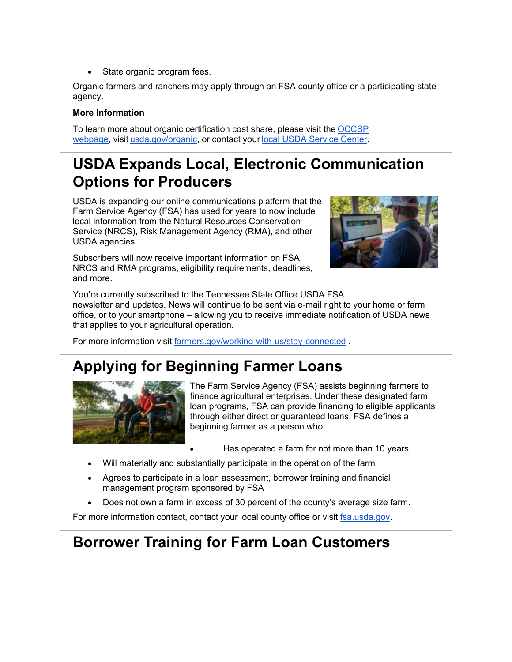State organic program fees.

Organic farmers and ranchers may apply through an FSA county office or a participating state agency.

#### **More Information**

To learn more about organic certification cost share, please visit the [OCCSP](https://gcc02.safelinks.protection.outlook.com/?url=https%3A%2F%2Fwww.fsa.usda.gov%2Fprograms-and-services%2Foccsp%2Findex%3Futm_medium%3Demail%26utm_source%3Dgovdelivery&data=04%7C01%7C%7C056ec82638164060532008d99894c661%7Ced5b36e701ee4ebc867ee03cfa0d4697%7C0%7C0%7C637708587020112799%7CUnknown%7CTWFpbGZsb3d8eyJWIjoiMC4wLjAwMDAiLCJQIjoiV2luMzIiLCJBTiI6Ik1haWwiLCJXVCI6Mn0%3D%7C1000&sdata=FlWCDHwDj42VGQiEAV%2FFAAsouLbbIUCR8%2B22SMtZxoo%3D&reserved=0)  [webpage,](https://gcc02.safelinks.protection.outlook.com/?url=https%3A%2F%2Fwww.fsa.usda.gov%2Fprograms-and-services%2Foccsp%2Findex%3Futm_medium%3Demail%26utm_source%3Dgovdelivery&data=04%7C01%7C%7C056ec82638164060532008d99894c661%7Ced5b36e701ee4ebc867ee03cfa0d4697%7C0%7C0%7C637708587020112799%7CUnknown%7CTWFpbGZsb3d8eyJWIjoiMC4wLjAwMDAiLCJQIjoiV2luMzIiLCJBTiI6Ik1haWwiLCJXVCI6Mn0%3D%7C1000&sdata=FlWCDHwDj42VGQiEAV%2FFAAsouLbbIUCR8%2B22SMtZxoo%3D&reserved=0) visit [usda.gov/organic,](https://www.usda.gov/topics/organic?utm_medium=email&utm_source=govdelivery) or contact your [local USDA Service Center.](https://www.farmers.gov/service-center-locator?utm_medium=email&utm_source=govdelivery)

# <span id="page-2-0"></span>**USDA Expands Local, Electronic Communication Options for Producers**

USDA is expanding our online communications platform that the Farm Service Agency (FSA) has used for years to now include local information from the Natural Resources Conservation Service (NRCS), Risk Management Agency (RMA), and other USDA agencies.

Subscribers will now receive important information on FSA, NRCS and RMA programs, eligibility requirements, deadlines, and more.



You're currently subscribed to the Tennessee State Office USDA FSA newsletter and updates. News will continue to be sent via e-mail right to your home or farm office, or to your smartphone – allowing you to receive immediate notification of USDA news that applies to your agricultural operation.

For more information visit [farmers.gov/working-with-us/stay-connected](https://www.farmers.gov/working-with-us/stay-connected?utm_medium=email&utm_source=govdelivery) .

### <span id="page-2-1"></span>**Applying for Beginning Farmer Loans**



The Farm Service Agency (FSA) assists beginning farmers to finance agricultural enterprises. Under these designated farm loan programs, FSA can provide financing to eligible applicants through either direct or guaranteed loans. FSA defines a beginning farmer as a person who:

- Has operated a farm for not more than 10 years
- Will materially and substantially participate in the operation of the farm
- Agrees to participate in a loan assessment, borrower training and financial management program sponsored by FSA
- Does not own a farm in excess of 30 percent of the county's average size farm.

For more information contact, contact your local county office or visit [fsa.usda.gov.](https://gcc02.safelinks.protection.outlook.com/?url=http%3A%2F%2Fwww.fsa.usda.gov%2F%3Futm_medium%3Demail%26utm_source%3Dgovdelivery&data=04%7C01%7C%7C056ec82638164060532008d99894c661%7Ced5b36e701ee4ebc867ee03cfa0d4697%7C0%7C0%7C637708587020112799%7CUnknown%7CTWFpbGZsb3d8eyJWIjoiMC4wLjAwMDAiLCJQIjoiV2luMzIiLCJBTiI6Ik1haWwiLCJXVCI6Mn0%3D%7C1000&sdata=1%2BsE%2B%2BENzlA6Lo0xkg%2BGvK2DHo%2FqPFO16ZEAnAPjjrk%3D&reserved=0)

### <span id="page-2-2"></span>**Borrower Training for Farm Loan Customers**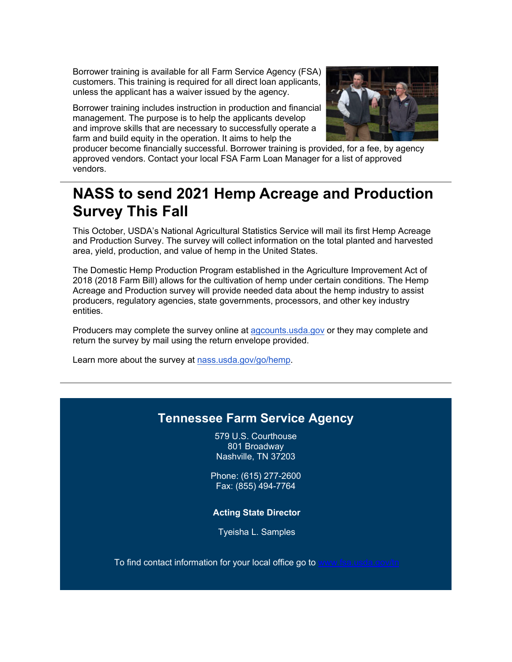Borrower training is available for all Farm Service Agency (FSA) customers. This training is required for all direct loan applicants, unless the applicant has a waiver issued by the agency.

Borrower training includes instruction in production and financial management. The purpose is to help the applicants develop and improve skills that are necessary to successfully operate a farm and build equity in the operation. It aims to help the



producer become financially successful. Borrower training is provided, for a fee, by agency approved vendors. Contact your local FSA Farm Loan Manager for a list of approved vendors.

## <span id="page-3-0"></span>**NASS to send 2021 Hemp Acreage and Production Survey This Fall**

This October, USDA's National Agricultural Statistics Service will mail its first Hemp Acreage and Production Survey. The survey will collect information on the total planted and harvested area, yield, production, and value of hemp in the United States.

The Domestic Hemp Production Program established in the Agriculture Improvement Act of 2018 (2018 Farm Bill) allows for the cultivation of hemp under certain conditions. The Hemp Acreage and Production survey will provide needed data about the hemp industry to assist producers, regulatory agencies, state governments, processors, and other key industry entities.

Producers may complete the survey online at [agcounts.usda.gov](https://gcc02.safelinks.protection.outlook.com/?url=https%3A%2F%2Fwww.agcounts.usda.gov%2Fstatic%2Fcawi%2Flayouts%2Fcawi%2Fbreeze%2Findex.html%3Futm_medium%3Demail%26utm_source%3Dgovdelivery&data=04%7C01%7C%7C056ec82638164060532008d99894c661%7Ced5b36e701ee4ebc867ee03cfa0d4697%7C0%7C0%7C637708587020122749%7CUnknown%7CTWFpbGZsb3d8eyJWIjoiMC4wLjAwMDAiLCJQIjoiV2luMzIiLCJBTiI6Ik1haWwiLCJXVCI6Mn0%3D%7C1000&sdata=sQi9nZlYN3IOJMiVvIF4dyhLqABGjtAU8y8D1u4eb7U%3D&reserved=0) or they may complete and return the survey by mail using the return envelope provided.

Learn more about the survey at [nass.usda.gov/go/hemp.](https://gcc02.safelinks.protection.outlook.com/?url=https%3A%2F%2Fwww.nass.usda.gov%2Fgo%2Fhemp%3Futm_medium%3Demail%26utm_source%3Dgovdelivery&data=04%7C01%7C%7C056ec82638164060532008d99894c661%7Ced5b36e701ee4ebc867ee03cfa0d4697%7C0%7C0%7C637708587020122749%7CUnknown%7CTWFpbGZsb3d8eyJWIjoiMC4wLjAwMDAiLCJQIjoiV2luMzIiLCJBTiI6Ik1haWwiLCJXVCI6Mn0%3D%7C1000&sdata=wFIk3xg%2FXhYVNzWATtECNAJxFaX19AUHdVTcuLZVqMk%3D&reserved=0)

### **Tennessee Farm Service Agency**

579 U.S. Courthouse 801 Broadway Nashville, TN 37203

Phone: (615) 277-2600 Fax: (855) 494-7764

#### **Acting State Director**

Tyeisha L. Samples

To find contact information for your local office go to